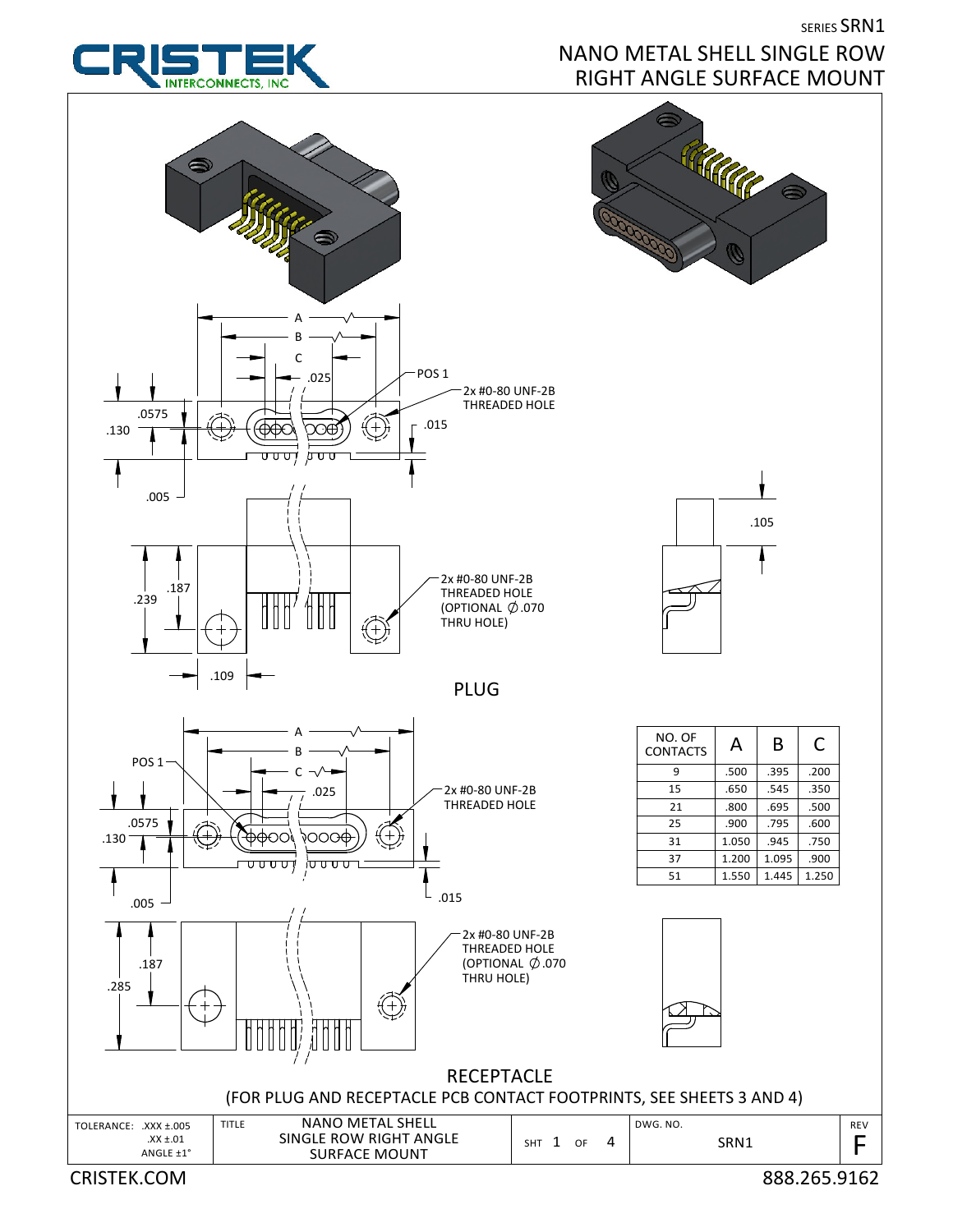

## SERIES SRN1 NANO METAL SHELL SINGLE ROW

CRISTEK.COM 888.265.9162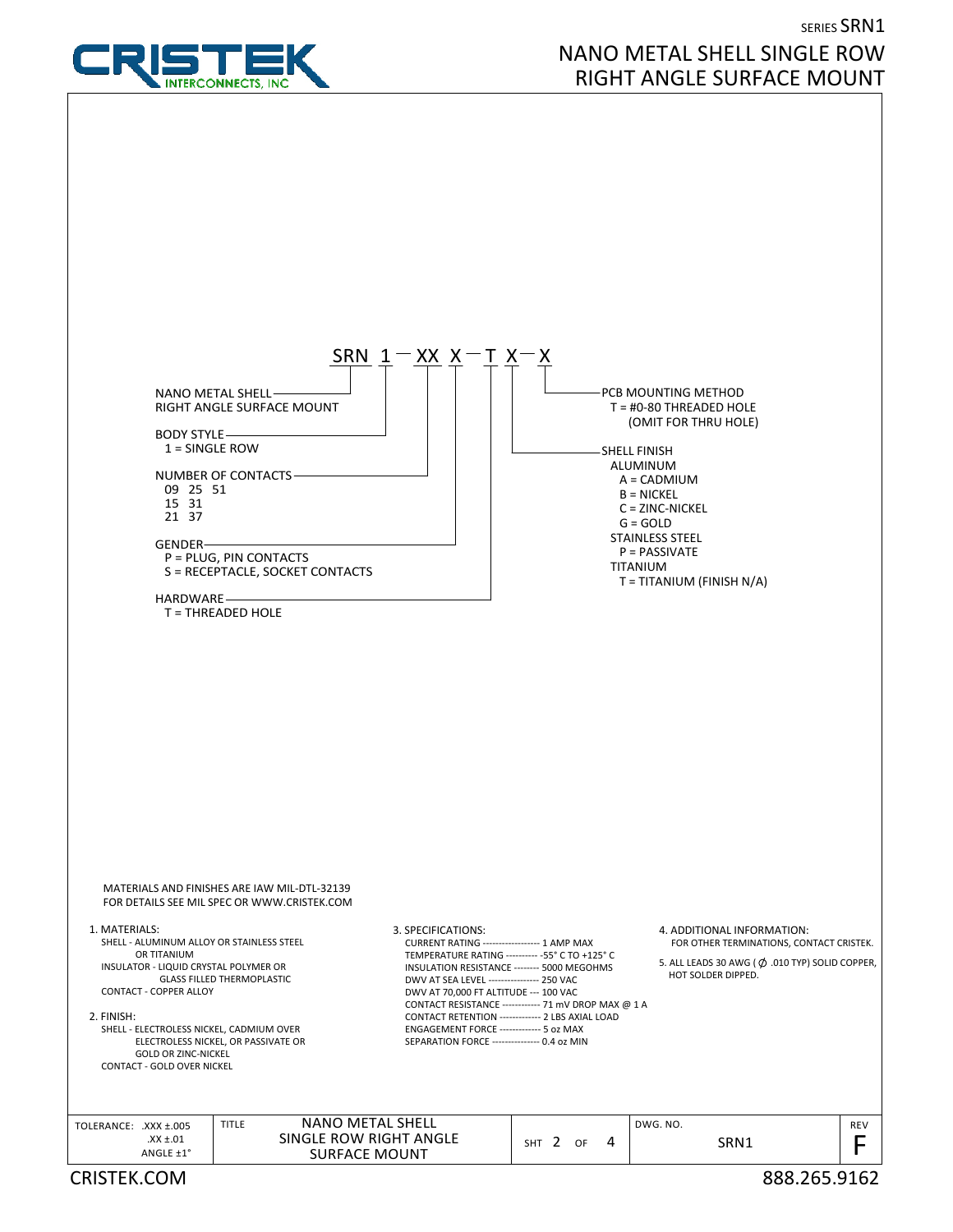

## SERIES SRN1 NANO METAL SHELL SINGLE ROW RIGHT ANGLE SURFACE MOUNT

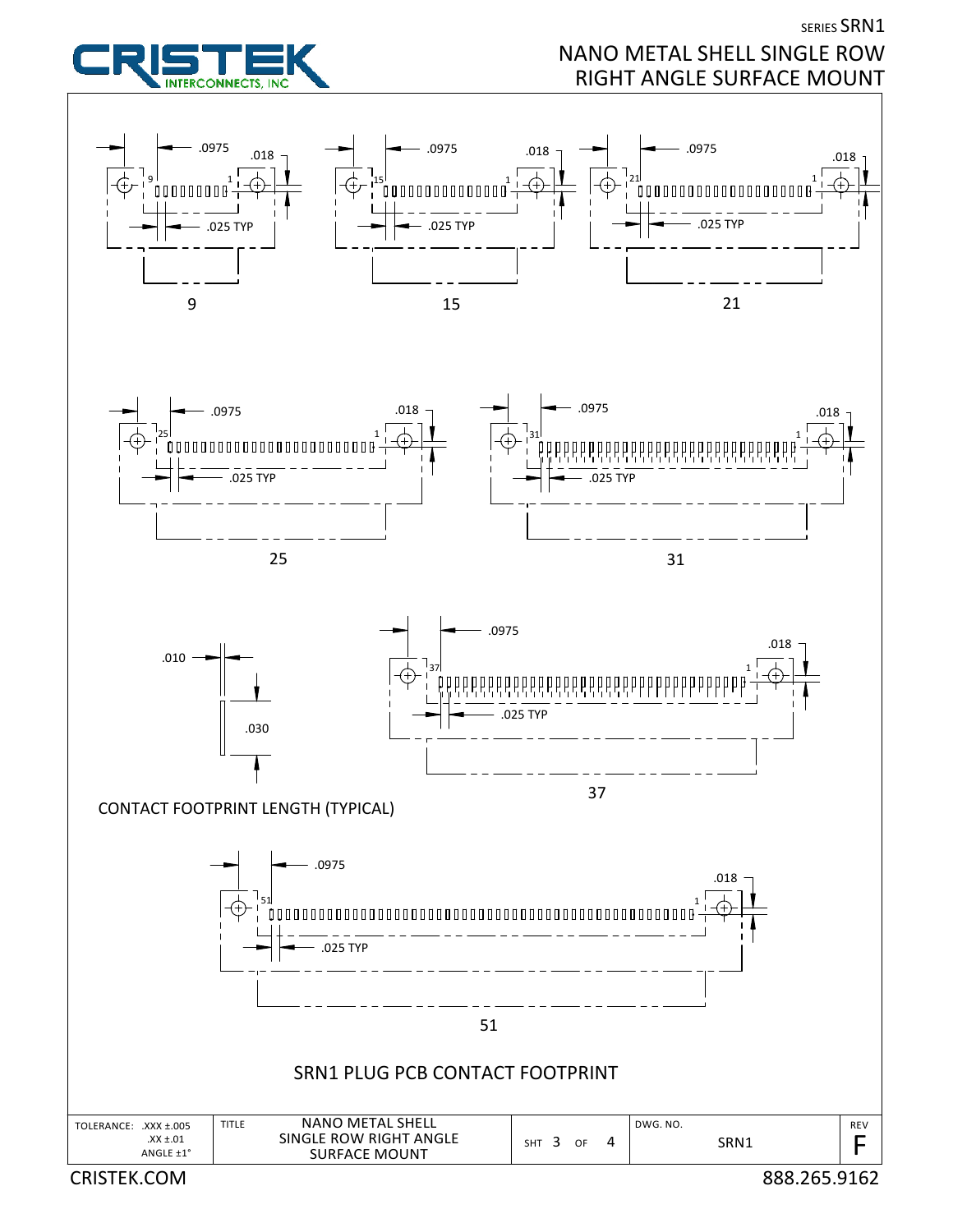

CRISTEK.COM 888.265.9162